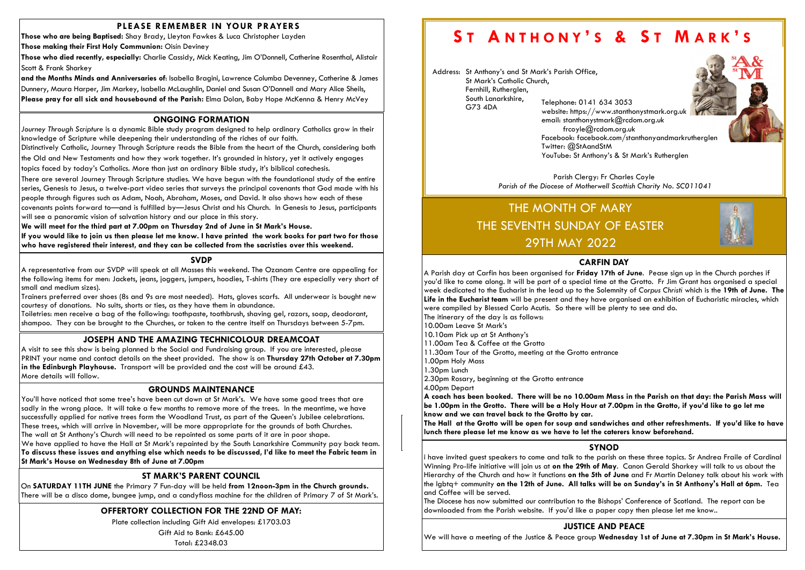# PLEASE REMEMBER IN YOUR PRAYERS

Those who are being Baptised: Shay Brady, Lleyton Fawkes & Luca Christopher Layden

Those making their First Holy Communion: Oisín Deviney

and the Months Minds and Anniversaries of: Isabella Bragini, Lawrence Columba Devenney, Catherine & James Dunnery, Maura Harper, Jim Markey, Isabella McLaughlin, Daniel and Susan O'Donnell and Mary Alice Sheils, Please pray for all sick and housebound of the Parish: Elma Dolan, Baby Hope McKenna & Henry McVey

Those who died recently, especially: Charlie Cassidy, Mick Keating, Jim O'Donnell, Catherine Rosenthal, Alistair Scott & Frank Sharkey

# OFFERTORY COLLECTION FOR THE 22ND OF MAY:

Plate collection including Gift Aid envelopes: £1703.03

Gift Aid to Bank: £645.00

Total: £2348.03

# ONGOING FORMATION

Journey Through Scripture is a dynamic Bible study program designed to help ordinary Catholics grow in their knowledge of Scripture while deepening their understanding of the riches of our faith.

Distinctively Catholic, Journey Through Scripture reads the Bible from the heart of the Church, considering both the Old and New Testaments and how they work together. It's grounded in history, yet it actively engages

topics faced by today's Catholics. More than just an ordinary Bible study, it's biblical catechesis.

There are several Journey Through Scripture studies. We have begun with the foundational study of the entire series, Genesis to Jesus, a twelve-part video series that surveys the principal covenants that God made with his people through figures such as Adam, Noah, Abraham, Moses, and David. It also shows how each of these

covenants points forward to—and is fulfilled by—Jesus Christ and his Church. In Genesis to Jesus, participants will see a panoramic vision of salvation history and our place in this story.

We will meet for the third part at 7.00pm on Thursday 2nd of June in St Mark's House.

If you would like to join us then please let me know. I have printed the work books for part two for those who have registered their interest, and they can be collected from the sacristies over this weekend.

### **SVDP**

# ST MARK'S PARENT COUNCIL

Parish Clergy: Fr Charles Coyle Parish of the Diocese of Motherwell Scottish Charity No. SC011041

On SATURDAY 11TH JUNE the Primary 7 Fun-day will be held from 12noon-3pm in the Church grounds. There will be a disco dome, bungee jump, and a candyfloss machine for the children of Primary 7 of St Mark's.

# JOSEPH AND THE AMAZING TECHNICOLOUR DREAMCOAT

A visit to see this show is being planned b the Social and Fundraising group. If you are interested, please PRINT your name and contact details on the sheet provided. The show is on Thursday 27th October at 7.30pm in the Edinburgh Playhouse. Transport will be provided and the cost will be around  $£43$ . More details will follow.

A representative from our SVDP will speak at all Masses this weekend. The Ozanam Centre are appealing for the following items for men: Jackets, jeans, joggers, jumpers, hoodies, T-shirts (They are especially very short of small and medium sizes).

Trainers preferred over shoes (8s and 9s are most needed). Hats, gloves scarfs. All underwear is bought new courtesy of donations. No suits, shorts or ties, as they have them in abundance.

Toiletries: men receive a bag of the following: toothpaste, toothbrush, shaving gel, razors, soap, deodorant, shampoo. They can be brought to the Churches, or taken to the centre itself on Thursdays between 5-7pm.

Anthony's.

### GROUNDS MAINTENANCE

You'll have noticed that some tree's have been cut down at St Mark's. We have some good trees that are sadly in the wrong place. It will take a few months to remove more of the trees. In the meantime, we have successfully applied for native trees form the Woodland Trust, as part of the Queen's Jubilee celebrations. These trees, which will arrive in November, will be more appropriate for the grounds of both Churches. The wall at St Anthony's Church will need to be repointed as some parts of it are in poor shape. We have applied to have the Hall at St Mark's repainted by the South Lanarkshire Community pay back team. To discuss these issues and anything else which needs to be discussed, I'd like to meet the Fabric team in St Mark's House on Wednesday 8th of June at 7.00pm

Address: St Anthony's and St Mark's Parish Office, St Mark's Catholic Church, Fernhill, Rutherglen, South Lanarkshire, G73 4DA Telephone: 0141 634 3053







email: stanthonystmark@rcdom.org.uk frcoyle@rcdom.org.uk Twitter: @StAandStM

# SYNOD

i have invited guest speakers to come and talk to the parish on these three topics. Sr Andrea Fraile of Cardinal Winning Pro-life initiative will join us at on the 29th of May. Canon Gerald Sharkey will talk to us about the Hierarchy of the Church and how it functions on the 5th of June and Fr Martin Delaney talk about his work with the lgbtq+ community on the 12th of June. All talks will be on Sunday's in St Anthony's Hall at 6pm. Tea and Coffee will be served.

The Diocese has now submitted our contribution to the Bishops' Conference of Scotland. The report can be downloaded from the Parish website. If you'd like a paper copy then please let me know..

# THE MONTH OF MARY THE SEVENTH SUNDAY OF EASTER 29TH MAY 2022

# JUSTICE AND PEACE

We will have a meeting of the Justice & Peace group Wednesday 1st of June at 7.30pm in St Mark's House.

#### CARFIN DAY

A Parish day at Carfin has been organised for Friday 17th of June. Pease sign up in the Church porches if you'd like to come along. It will be part of a special time at the Grotto. Fr Jim Grant has organised a special week dedicated to the Eucharist in the lead up to the Solemnity of Corpus Christi which is the 19th of June. The Life in the Eucharist team will be present and they have organised an exhibition of Eucharistic miracles, which were compiled by Blessed Carlo Acutis. So there will be plenty to see and do. The itinerary of the day is as follows:

10.00am Leave St Mark's

- 10.10am Pick up at St Anthony's
- 11.00am Tea & Coffee at the Grotto
- 11.30am Tour of the Grotto, meeting at the Grotto entrance 1.00pm Holy Mass
- 1.30pm Lunch

2.30pm Rosary, beginning at the Grotto entrance

4.00pm Depart

A coach has been booked. There will be no 10.00am Mass in the Parish on that day: the Parish Mass will be 1.00pm in the Grotto. There will be a Holy Hour at 7.00pm in the Grotto, if you'd like to go let me know and we can travel back to the Grotto by car. The Hall at the Grotto will be open for soup and sandwiches and other refreshments. If you'd like to have

 $\vert$  lunch there please let me know as we have to let the caterers know beforehand.